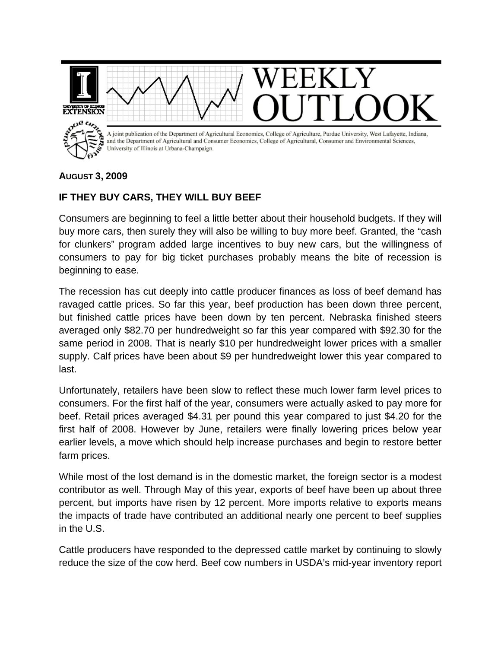

## **AUGUST 3, 2009**

## **IF THEY BUY CARS, THEY WILL BUY BEEF**

Consumers are beginning to feel a little better about their household budgets. If they will buy more cars, then surely they will also be willing to buy more beef. Granted, the "cash for clunkers" program added large incentives to buy new cars, but the willingness of consumers to pay for big ticket purchases probably means the bite of recession is beginning to ease.

The recession has cut deeply into cattle producer finances as loss of beef demand has ravaged cattle prices. So far this year, beef production has been down three percent, but finished cattle prices have been down by ten percent. Nebraska finished steers averaged only \$82.70 per hundredweight so far this year compared with \$92.30 for the same period in 2008. That is nearly \$10 per hundredweight lower prices with a smaller supply. Calf prices have been about \$9 per hundredweight lower this year compared to last.

Unfortunately, retailers have been slow to reflect these much lower farm level prices to consumers. For the first half of the year, consumers were actually asked to pay more for beef. Retail prices averaged \$4.31 per pound this year compared to just \$4.20 for the first half of 2008. However by June, retailers were finally lowering prices below year earlier levels, a move which should help increase purchases and begin to restore better farm prices.

While most of the lost demand is in the domestic market, the foreign sector is a modest contributor as well. Through May of this year, exports of beef have been up about three percent, but imports have risen by 12 percent. More imports relative to exports means the impacts of trade have contributed an additional nearly one percent to beef supplies in the U.S.

Cattle producers have responded to the depressed cattle market by continuing to slowly reduce the size of the cow herd. Beef cow numbers in USDA's mid-year inventory report